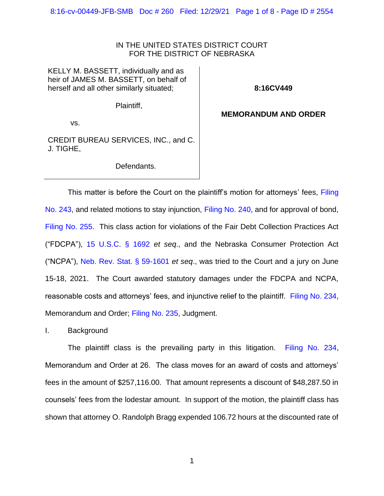8:16-cv-00449-JFB-SMB Doc # 260 Filed: 12/29/21 Page 1 of 8 - Page ID # 2554

## IN THE UNITED STATES DISTRICT COURT FOR THE DISTRICT OF NEBRASKA

KELLY M. BASSETT, individually and as heir of JAMES M. BASSETT, on behalf of herself and all other similarly situated;

**8:16CV449**

Plaintiff,

## **MEMORANDUM AND ORDER**

vs.

CREDIT BUREAU SERVICES, INC., and C. J. TIGHE,

Defendants.

This matter is before the Court on the plaintiff's motion for attorneys' fees, Filing [No. 243,](https://ecf.ned.uscourts.gov/doc1/11314785020) and related motions to stay injunction, [Filing No. 240,](https://ecf.ned.uscourts.gov/doc1/11314777446) and for approval of bond, [Filing No. 255.](https://ecf.ned.uscourts.gov/doc1/11314817796) This class action for violations of the Fair Debt Collection Practices Act ("FDCPA"), [15 U.S.C. § 1692](https://www.westlaw.com/Document/NB6223E30AFF711D8803AE0632FEDDFBF/View/FullText.html?transitionType=Default&contextData=(sc.Default)&VR=3.0&RS=da3.0) *et seq*., and the Nebraska Consumer Protection Act ("NCPA"), [Neb. Rev. Stat. § 59-1601](https://www.westlaw.com/Document/N85CD9AB0AEC811DEA0C8A10D09B7A847/View/FullText.html?transitionType=Default&contextData=(sc.Default)&VR=3.0&RS=da3.0) *et seq*., was tried to the Court and a jury on June 15-18, 2021. The Court awarded statutory damages under the FDCPA and NCPA, reasonable costs and attorneys' fees, and injunctive relief to the plaintiff. [Filing No. 234,](https://ecf.ned.uscourts.gov/doc1/11314769741) Memorandum and Order; [Filing No. 235,](https://ecf.ned.uscourts.gov/doc1/11314769758) Judgment.

I. Background

The plaintiff class is the prevailing party in this litigation. [Filing No. 234,](https://ecf.ned.uscourts.gov/doc1/11314769741) Memorandum and Order at 26. The class moves for an award of costs and attorneys' fees in the amount of \$257,116.00. That amount represents a discount of \$48,287.50 in counsels' fees from the lodestar amount. In support of the motion, the plaintiff class has shown that attorney O. Randolph Bragg expended 106.72 hours at the discounted rate of

1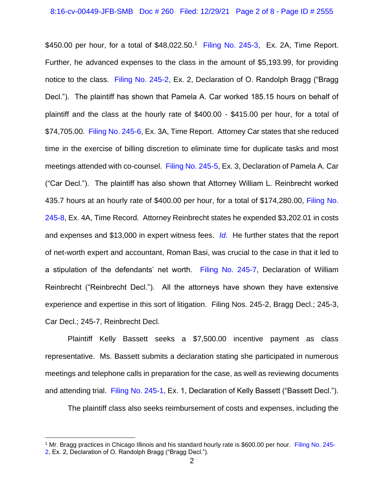\$450.00 per hour, for a total of \$48,022.50.<sup>1</sup> [Filing No. 245-3,](https://ecf.ned.uscourts.gov/doc1/11314785063) Ex. 2A, Time Report. Further, he advanced expenses to the class in the amount of \$5,193.99, for providing notice to the class. [Filing No. 245-2,](https://ecf.ned.uscourts.gov/doc1/11314785062) Ex. 2, Declaration of O. Randolph Bragg ("Bragg Decl."). The plaintiff has shown that Pamela A. Car worked 185.15 hours on behalf of plaintiff and the class at the hourly rate of \$400.00 - \$415.00 per hour, for a total of \$74,705.00. [Filing No. 245-6,](https://ecf.ned.uscourts.gov/doc1/11314785066) Ex. 3A, Time Report. Attorney Car states that she reduced time in the exercise of billing discretion to eliminate time for duplicate tasks and most meetings attended with co-counsel. [Filing No. 245-5,](https://ecf.ned.uscourts.gov/doc1/11314785065) Ex. 3, Declaration of Pamela A. Car ("Car Decl."). The plaintiff has also shown that Attorney William L. Reinbrecht worked 435.7 hours at an hourly rate of \$400.00 per hour, for a total of \$174,280.00, [Filing No.](https://ecf.ned.uscourts.gov/doc1/11314785068)  [245-8,](https://ecf.ned.uscourts.gov/doc1/11314785068) Ex. 4A, Time Record. Attorney Reinbrecht states he expended \$3,202.01 in costs and expenses and \$13,000 in expert witness fees. *[Id](https://ecf.ned.uscourts.gov/doc1/11314785068)*. He further states that the report of net-worth expert and accountant, Roman Basi, was crucial to the case in that it led to a stipulation of the defendants' net worth. [Filing No. 245-7,](https://ecf.ned.uscourts.gov/doc1/11314785067) Declaration of William Reinbrecht ("Reinbrecht Decl."). All the attorneys have shown they have extensive experience and expertise in this sort of litigation. Filing Nos. 245-2, Bragg Decl.; 245-3, Car Decl.; 245-7, Reinbrecht Decl.

Plaintiff Kelly Bassett seeks a \$7,500.00 incentive payment as class representative. Ms. Bassett submits a declaration stating she participated in numerous meetings and telephone calls in preparation for the case, as well as reviewing documents and attending trial. [Filing No. 245-1,](https://ecf.ned.uscourts.gov/doc1/11314785061) Ex. 1, Declaration of Kelly Bassett ("Bassett Decl.").

The plaintiff class also seeks reimbursement of costs and expenses, including the

<sup>1</sup> Mr. Bragg practices in Chicago Illinois and his standard hourly rate is \$600.00 per hour. [Filing No. 245-](https://ecf.ned.uscourts.gov/doc1/11314785062) [2,](https://ecf.ned.uscourts.gov/doc1/11314785062) Ex. 2, Declaration of O. Randolph Bragg ("Bragg Decl.").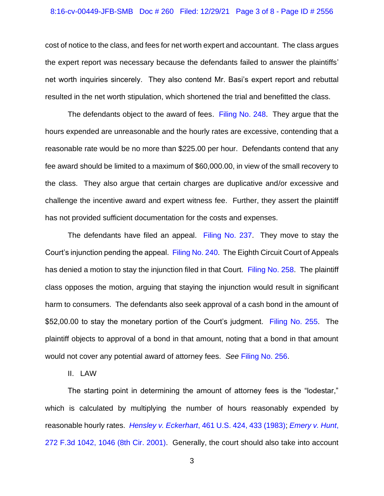## 8:16-cv-00449-JFB-SMB Doc # 260 Filed: 12/29/21 Page 3 of 8 - Page ID # 2556

cost of notice to the class, and fees for net worth expert and accountant. The class argues the expert report was necessary because the defendants failed to answer the plaintiffs' net worth inquiries sincerely. They also contend Mr. Basi's expert report and rebuttal resulted in the net worth stipulation, which shortened the trial and benefitted the class.

The defendants object to the award of fees. [Filing No. 248.](https://ecf.ned.uscourts.gov/doc1/11314793478) They argue that the hours expended are unreasonable and the hourly rates are excessive, contending that a reasonable rate would be no more than \$225.00 per hour. Defendants contend that any fee award should be limited to a maximum of \$60,000.00, in view of the small recovery to the class. They also argue that certain charges are duplicative and/or excessive and challenge the incentive award and expert witness fee. Further, they assert the plaintiff has not provided sufficient documentation for the costs and expenses.

The defendants have filed an appeal. [Filing No. 237.](https://ecf.ned.uscourts.gov/doc1/11314773317) They move to stay the Court's injunction pending the appeal. [Filing No. 240.](https://ecf.ned.uscourts.gov/doc1/11314777446) The Eighth Circuit Court of Appeals has denied a motion to stay the injunction filed in that Court. [Filing No. 258.](https://ecf.ned.uscourts.gov/doc1/11314823801) The plaintiff class opposes the motion, arguing that staying the injunction would result in significant harm to consumers. The defendants also seek approval of a cash bond in the amount of \$52,00.00 to stay the monetary portion of the Court's judgment. [Filing No. 255.](https://ecf.ned.uscourts.gov/doc1/11314817796) The plaintiff objects to approval of a bond in that amount, noting that a bond in that amount would not cover any potential award of attorney fees. *See* [Filing No. 256.](https://ecf.ned.uscourts.gov/doc1/11314818984)

II. LAW

The starting point in determining the amount of attorney fees is the "lodestar," which is calculated by multiplying the number of hours reasonably expended by reasonable hourly rates. *Hensley v. Eckerhart*[, 461 U.S. 424, 433 \(1983\);](https://www.westlaw.com/Document/I1773bb109c1f11d993e6d35cc61aab4a/View/FullText.html?transitionType=Default&contextData=(sc.Default)&VR=3.0&RS=da3.0&fragmentIdentifier=co_pp_sp_780_433) *[Emery v. Hunt](https://www.westlaw.com/Document/I9e098b0879b411d9ac1ffa9f33b6c3b0/View/FullText.html?transitionType=Default&contextData=(sc.Default)&VR=3.0&RS=da3.0&fragmentIdentifier=co_pp_sp_506_1046)*, [272 F.3d 1042, 1046 \(8th Cir. 2001\).](https://www.westlaw.com/Document/I9e098b0879b411d9ac1ffa9f33b6c3b0/View/FullText.html?transitionType=Default&contextData=(sc.Default)&VR=3.0&RS=da3.0&fragmentIdentifier=co_pp_sp_506_1046) Generally, the court should also take into account

3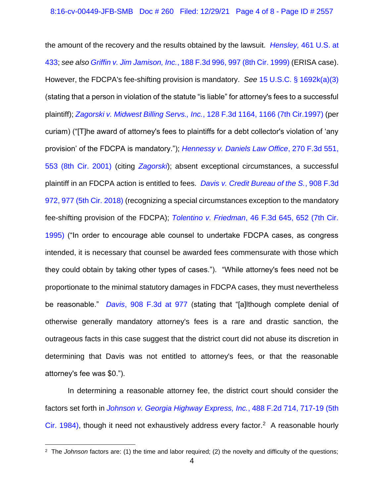the amount of the recovery and the results obtained by the lawsuit. *Hensley,* [461 U.S. at](https://www.westlaw.com/Document/I1773bb109c1f11d993e6d35cc61aab4a/View/FullText.html?transitionType=Default&contextData=(sc.Default)&VR=3.0&RS=da3.0&fragmentIdentifier=co_pp_sp_780_433)  [433;](https://www.westlaw.com/Document/I1773bb109c1f11d993e6d35cc61aab4a/View/FullText.html?transitionType=Default&contextData=(sc.Default)&VR=3.0&RS=da3.0&fragmentIdentifier=co_pp_sp_780_433) *see also Griffin v. Jim Jamison, Inc.*[, 188 F.3d 996, 997 \(8th Cir. 1999\)](https://www.westlaw.com/Document/I4c4f18a694af11d9a707f4371c9c34f0/View/FullText.html?transitionType=Default&contextData=(sc.Default)&VR=3.0&RS=da3.0&fragmentIdentifier=co_pp_sp_506_997) (ERISA case). However, the FDCPA's fee-shifting provision is mandatory. *See* [15 U.S.C. § 1692k\(a\)\(3\)](https://www.westlaw.com/Document/N0157858038B311E1BDE18D09F4C9FE75/View/FullText.html?transitionType=Default&contextData=(sc.Default)&VR=3.0&RS=da3.0) (stating that a person in violation of the statute "is liable" for attorney's fees to a successful plaintiff); *[Zagorski v. Midwest Billing Servs., Inc.](https://www.westlaw.com/Document/I257bd0ca943111d9bdd1cfdd544ca3a4/View/FullText.html?transitionType=Default&contextData=(sc.Default)&VR=3.0&RS=da3.0&fragmentIdentifier=co_pp_sp_506_1166)*, 128 F.3d 1164, 1166 (7th Cir.1997) (per curiam) ("[T]he award of attorney's fees to plaintiffs for a debt collector's violation of 'any provision' of the FDCPA is mandatory."); *[Hennessy v. Daniels Law Office](https://www.westlaw.com/Document/Icc4fabd179c211d9bf29e2067ad74e5b/View/FullText.html?transitionType=Default&contextData=(sc.Default)&VR=3.0&RS=da3.0&fragmentIdentifier=co_pp_sp_506_553)*, 270 F.3d 551, [553 \(8th Cir. 2001\)](https://www.westlaw.com/Document/Icc4fabd179c211d9bf29e2067ad74e5b/View/FullText.html?transitionType=Default&contextData=(sc.Default)&VR=3.0&RS=da3.0&fragmentIdentifier=co_pp_sp_506_553) (citing *[Zagorski](https://www.westlaw.com/Document/I257bd0ca943111d9bdd1cfdd544ca3a4/View/FullText.html?transitionType=Default&contextData=(sc.Default)&VR=3.0&RS=da3.0)*); absent exceptional circumstances, a successful plaintiff in an FDCPA action is entitled to fees. *[Davis v. Credit Bureau of the S.](https://www.westlaw.com/Document/Ib4735830e9e911e8a99cca37ea0f7dc8/View/FullText.html?transitionType=Default&contextData=(sc.Default)&VR=3.0&RS=da3.0&fragmentIdentifier=co_pp_sp_506_977)*, 908 F.3d [972, 977 \(5th Cir. 2018\)](https://www.westlaw.com/Document/Ib4735830e9e911e8a99cca37ea0f7dc8/View/FullText.html?transitionType=Default&contextData=(sc.Default)&VR=3.0&RS=da3.0&fragmentIdentifier=co_pp_sp_506_977) (recognizing a special circumstances exception to the mandatory fee-shifting provision of the FDCPA); *Tolentino v. Friedman*[, 46 F.3d 645, 652 \(7th Cir.](https://www.westlaw.com/Document/I12905030910211d98e8fb00d6c6a02dd/View/FullText.html?transitionType=Default&contextData=(sc.Default)&VR=3.0&RS=da3.0&fragmentIdentifier=co_pp_sp_506_652)  [1995\)](https://www.westlaw.com/Document/I12905030910211d98e8fb00d6c6a02dd/View/FullText.html?transitionType=Default&contextData=(sc.Default)&VR=3.0&RS=da3.0&fragmentIdentifier=co_pp_sp_506_652) ("In order to encourage able counsel to undertake FDCPA cases, as congress intended, it is necessary that counsel be awarded fees commensurate with those which they could obtain by taking other types of cases."). "While attorney's fees need not be proportionate to the minimal statutory damages in FDCPA cases, they must nevertheless be reasonable." *Davis*[, 908 F.3d at 977](https://www.westlaw.com/Document/Ib4735830e9e911e8a99cca37ea0f7dc8/View/FullText.html?transitionType=Default&contextData=(sc.Default)&VR=3.0&RS=da3.0&fragmentIdentifier=co_pp_sp_506_977) (stating that "[a]lthough complete denial of otherwise generally mandatory attorney's fees is a rare and drastic sanction, the outrageous facts in this case suggest that the district court did not abuse its discretion in determining that Davis was not entitled to attorney's fees, or that the reasonable attorney's fee was \$0.").

In determining a reasonable attorney fee, the district court should consider the factors set forth in *[Johnson v. Georgia Highway Express, Inc.](https://www.westlaw.com/Document/Ie0d6dcd7903e11d98e8fb00d6c6a02dd/View/FullText.html?transitionType=Default&contextData=(sc.Default)&VR=3.0&RS=da3.0&fragmentIdentifier=co_pp_sp_350_717)*, 488 F.2d 714, 717-19 (5th [Cir. 1984\),](https://www.westlaw.com/Document/Ie0d6dcd7903e11d98e8fb00d6c6a02dd/View/FullText.html?transitionType=Default&contextData=(sc.Default)&VR=3.0&RS=da3.0&fragmentIdentifier=co_pp_sp_350_717) though it need not exhaustively address every factor.<sup>2</sup> A reasonable hourly

<sup>2</sup> The *Johnson* factors are: (1) the time and labor required; (2) the novelty and difficulty of the questions;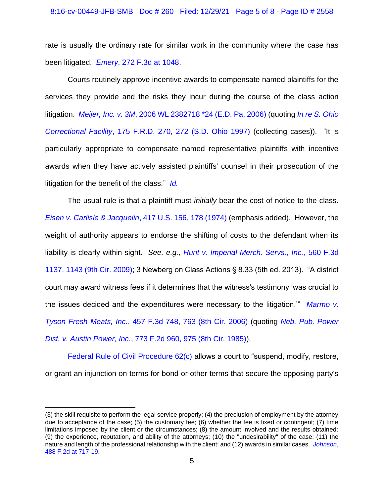rate is usually the ordinary rate for similar work in the community where the case has been litigated. *Emery*[, 272 F.3d at 1048.](https://www.westlaw.com/Document/I9e098b0879b411d9ac1ffa9f33b6c3b0/View/FullText.html?transitionType=Default&contextData=(sc.Default)&VR=3.0&RS=da3.0)

Courts routinely approve incentive awards to compensate named plaintiffs for the services they provide and the risks they incur during the course of the class action litigation. *Meijer, Inc. v. 3M*[, 2006 WL 2382718 \\*24 \(E.D. Pa. 2006\)](https://www.westlaw.com/Document/I6f73ef3f2eec11dbbffafa490ee528f6/View/FullText.html?transitionType=Default&contextData=(sc.Default)&VR=3.0&RS=da3.0&fragmentIdentifier=co_pp_sp_999_24) (quoting *[In re S. Ohio](https://www.westlaw.com/Document/I3eff8164566811d9a99c85a9e6023ffa/View/FullText.html?transitionType=Default&contextData=(sc.Default)&VR=3.0&RS=da3.0&fragmentIdentifier=co_pp_sp_344_272)  Correctional Facility*[, 175 F.R.D. 270, 272 \(S.D. Ohio 1997\)](https://www.westlaw.com/Document/I3eff8164566811d9a99c85a9e6023ffa/View/FullText.html?transitionType=Default&contextData=(sc.Default)&VR=3.0&RS=da3.0&fragmentIdentifier=co_pp_sp_344_272) (collecting cases)). "It is particularly appropriate to compensate named representative plaintiffs with incentive awards when they have actively assisted plaintiffs' counsel in their prosecution of the litigation for the benefit of the class." *[Id.](https://www.westlaw.com/Document/I6f73ef3f2eec11dbbffafa490ee528f6/View/FullText.html?transitionType=Default&contextData=(sc.Default)&VR=3.0&RS=da3.0)*

The usual rule is that a plaintiff must *initially* bear the cost of notice to the class. *[Eisen v. Carlisle & Jacquelin](https://www.westlaw.com/Document/I1d22e0859c9711d993e6d35cc61aab4a/View/FullText.html?transitionType=Default&contextData=(sc.Default)&VR=3.0&RS=da3.0&fragmentIdentifier=co_pp_sp_780_178)*, 417 U.S. 156, 178 (1974) (emphasis added). However, the weight of authority appears to endorse the shifting of costs to the defendant when its liability is clearly within sight. *See, e.g., [Hunt v. Imperial Merch. Servs., Inc.](https://www.westlaw.com/Document/I6c0ebb711e0811deb6a3a099756c05b7/View/FullText.html?transitionType=Default&contextData=(sc.Default)&VR=3.0&RS=da3.0&fragmentIdentifier=co_pp_sp_506_1143)*, 560 F.3d [1137, 1143 \(9th Cir. 2009\);](https://www.westlaw.com/Document/I6c0ebb711e0811deb6a3a099756c05b7/View/FullText.html?transitionType=Default&contextData=(sc.Default)&VR=3.0&RS=da3.0&fragmentIdentifier=co_pp_sp_506_1143) 3 Newberg on Class Actions § 8.33 (5th ed. 2013). "A district court may award witness fees if it determines that the witness's testimony 'was crucial to the issues decided and the expenditures were necessary to the litigation.'" *[Marmo v.](https://www.westlaw.com/Document/Ic02a5b6322e811db80c2e56cac103088/View/FullText.html?transitionType=Default&contextData=(sc.Default)&VR=3.0&RS=da3.0&fragmentIdentifier=co_pp_sp_506_763)  Tyson Fresh Meats, Inc.*[, 457 F.3d 748, 763 \(8th Cir. 2006\)](https://www.westlaw.com/Document/Ic02a5b6322e811db80c2e56cac103088/View/FullText.html?transitionType=Default&contextData=(sc.Default)&VR=3.0&RS=da3.0&fragmentIdentifier=co_pp_sp_506_763) (quoting *[Neb. Pub. Power](https://www.westlaw.com/Document/I4c1bd3a594af11d9a707f4371c9c34f0/View/FullText.html?transitionType=Default&contextData=(sc.Default)&VR=3.0&RS=da3.0&fragmentIdentifier=co_pp_sp_350_975)  Dist. v. Austin Power, Inc.*[, 773 F.2d 960, 975 \(8th Cir. 1985\)\)](https://www.westlaw.com/Document/I4c1bd3a594af11d9a707f4371c9c34f0/View/FullText.html?transitionType=Default&contextData=(sc.Default)&VR=3.0&RS=da3.0&fragmentIdentifier=co_pp_sp_350_975).

[Federal Rule of Civil Procedure 62\(c\)](https://www.westlaw.com/Document/N0DCBDBA0B96C11D8983DF34406B5929B/View/FullText.html?transitionType=Default&contextData=(sc.Default)&VR=3.0&RS=da3.0) allows a court to "suspend, modify, restore, or grant an injunction on terms for bond or other terms that secure the opposing party's

<sup>(3)</sup> the skill requisite to perform the legal service properly; (4) the preclusion of employment by the attorney due to acceptance of the case; (5) the customary fee; (6) whether the fee is fixed or contingent; (7) time limitations imposed by the client or the circumstances; (8) the amount involved and the results obtained; (9) the experience, reputation, and ability of the attorneys; (10) the "undesirability" of the case; (11) the nature and length of the professional relationship with the client; and (12) awards in similar cases. *[Johnson](https://www.westlaw.com/Document/Ie0d6dcd7903e11d98e8fb00d6c6a02dd/View/FullText.html?transitionType=Default&contextData=(sc.Default)&VR=3.0&RS=da3.0&fragmentIdentifier=co_pp_sp_350_717)*, [488 F.2d at 717-19.](https://www.westlaw.com/Document/Ie0d6dcd7903e11d98e8fb00d6c6a02dd/View/FullText.html?transitionType=Default&contextData=(sc.Default)&VR=3.0&RS=da3.0&fragmentIdentifier=co_pp_sp_350_717)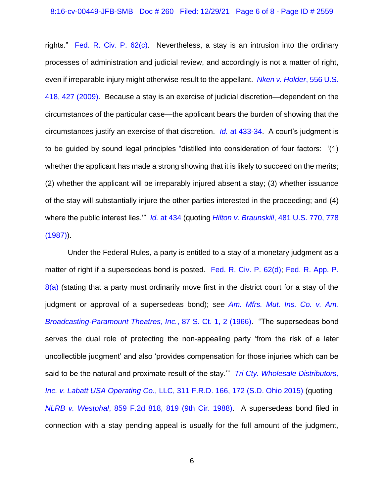rights." [Fed. R. Civ. P. 62\(c\).](https://www.westlaw.com/Document/N0DCBDBA0B96C11D8983DF34406B5929B/View/FullText.html?transitionType=Default&contextData=(sc.Default)&VR=3.0&RS=da3.0) Nevertheless, a stay is an intrusion into the ordinary processes of administration and judicial review, and accordingly is not a matter of right, even if irreparable injury might otherwise result to the appellant. *[Nken v. Holder](https://www.westlaw.com/Document/Id0fe62e22f3811deabded03f2b83b8a4/View/FullText.html?transitionType=Default&contextData=(sc.Default)&VR=3.0&RS=da3.0&fragmentIdentifier=co_pp_sp_780_427)*, 556 U.S. [418, 427 \(2009\).](https://www.westlaw.com/Document/Id0fe62e22f3811deabded03f2b83b8a4/View/FullText.html?transitionType=Default&contextData=(sc.Default)&VR=3.0&RS=da3.0&fragmentIdentifier=co_pp_sp_780_427) Because a stay is an exercise of judicial discretion—dependent on the circumstances of the particular case—the applicant bears the burden of showing that the circumstances justify an exercise of that discretion. *Id.* [at 433-34.](https://www.westlaw.com/Document/Id0fe62e22f3811deabded03f2b83b8a4/View/FullText.html?transitionType=Default&contextData=(sc.Default)&VR=3.0&RS=da3.0&fragmentIdentifier=co_pp_sp_780_433) A court's judgment is to be guided by sound legal principles "distilled into consideration of four factors: '(1) whether the applicant has made a strong showing that it is likely to succeed on the merits; (2) whether the applicant will be irreparably injured absent a stay; (3) whether issuance of the stay will substantially injure the other parties interested in the proceeding; and (4) where the public interest lies.'" *Id.* [at 434](https://www.westlaw.com/Document/Id0fe62e22f3811deabded03f2b83b8a4/View/FullText.html?transitionType=Default&contextData=(sc.Default)&VR=3.0&RS=da3.0&fragmentIdentifier=co_pp_sp_780_434) (quoting *Hilton v. Braunskill*[, 481 U.S. 770, 778](https://www.westlaw.com/Document/I1d18f5849c9711d993e6d35cc61aab4a/View/FullText.html?transitionType=Default&contextData=(sc.Default)&VR=3.0&RS=da3.0&fragmentIdentifier=co_pp_sp_780_778)  [\(1987\)\)](https://www.westlaw.com/Document/I1d18f5849c9711d993e6d35cc61aab4a/View/FullText.html?transitionType=Default&contextData=(sc.Default)&VR=3.0&RS=da3.0&fragmentIdentifier=co_pp_sp_780_778).

Under the Federal Rules, a party is entitled to a stay of a monetary judgment as a matter of right if a supersedeas bond is posted. [Fed. R. Civ. P. 62\(d\);](https://www.westlaw.com/Document/N0DCBDBA0B96C11D8983DF34406B5929B/View/FullText.html?transitionType=Default&contextData=(sc.Default)&VR=3.0&RS=da3.0) [Fed. R. App. P.](https://www.westlaw.com/Document/NBA5B9300B97711D8983DF34406B5929B/View/FullText.html?transitionType=Default&contextData=(sc.Default)&VR=3.0&RS=da3.0)   $8(a)$  (stating that a party must ordinarily move first in the district court for a stay of the judgment or approval of a supersedeas bond); *see [Am. Mfrs. Mut. Ins. Co. v. Am.](https://www.westlaw.com/Document/I2361bc6e9c1e11d9bdd1cfdd544ca3a4/View/FullText.html?transitionType=Default&contextData=(sc.Default)&VR=3.0&RS=da3.0&fragmentIdentifier=co_pp_sp_708_2)  [Broadcasting-Paramount Theatres, Inc.](https://www.westlaw.com/Document/I2361bc6e9c1e11d9bdd1cfdd544ca3a4/View/FullText.html?transitionType=Default&contextData=(sc.Default)&VR=3.0&RS=da3.0&fragmentIdentifier=co_pp_sp_708_2)*, 87 S. Ct. 1, 2 (1966). "The supersedeas bond serves the dual role of protecting the non-appealing party 'from the risk of a later uncollectible judgment' and also 'provides compensation for those injuries which can be said to be the natural and proximate result of the stay.'" *[Tri Cty. Wholesale Distributors,](https://www.westlaw.com/Document/I1dbcfe90731911e5804ce6d32254bbbf/View/FullText.html?transitionType=Default&contextData=(sc.Default)&VR=3.0&RS=da3.0&fragmentIdentifier=co_pp_sp_344_172)  Inc. v. Labatt USA Operating Co.*[, LLC, 311 F.R.D. 166, 172 \(S.D. Ohio 2015\)](https://www.westlaw.com/Document/I1dbcfe90731911e5804ce6d32254bbbf/View/FullText.html?transitionType=Default&contextData=(sc.Default)&VR=3.0&RS=da3.0&fragmentIdentifier=co_pp_sp_344_172) (quoting *NLRB v. Westphal*[, 859 F.2d 818, 819 \(9th Cir. 1988\).](https://www.westlaw.com/Document/Ic80bed8c95e311d9a707f4371c9c34f0/View/FullText.html?transitionType=Default&contextData=(sc.Default)&VR=3.0&RS=da3.0&fragmentIdentifier=co_pp_sp_350_819) A supersedeas bond filed in connection with a stay pending appeal is usually for the full amount of the judgment,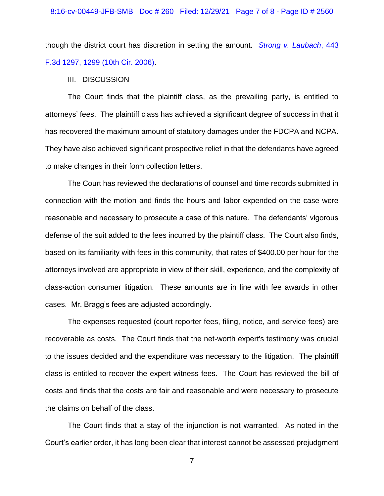though the district court has discretion in setting the amount. *[Strong v. Laubach](https://www.westlaw.com/Document/Ibe67a486c9c311da89709aa238bcead9/View/FullText.html?transitionType=Default&contextData=(sc.Default)&VR=3.0&RS=da3.0&fragmentIdentifier=co_pp_sp_506_1299)*, 443 [F.3d 1297, 1299 \(10th Cir. 2006\).](https://www.westlaw.com/Document/Ibe67a486c9c311da89709aa238bcead9/View/FullText.html?transitionType=Default&contextData=(sc.Default)&VR=3.0&RS=da3.0&fragmentIdentifier=co_pp_sp_506_1299)

III. DISCUSSION

The Court finds that the plaintiff class, as the prevailing party, is entitled to attorneys' fees. The plaintiff class has achieved a significant degree of success in that it has recovered the maximum amount of statutory damages under the FDCPA and NCPA. They have also achieved significant prospective relief in that the defendants have agreed to make changes in their form collection letters.

The Court has reviewed the declarations of counsel and time records submitted in connection with the motion and finds the hours and labor expended on the case were reasonable and necessary to prosecute a case of this nature. The defendants' vigorous defense of the suit added to the fees incurred by the plaintiff class. The Court also finds, based on its familiarity with fees in this community, that rates of \$400.00 per hour for the attorneys involved are appropriate in view of their skill, experience, and the complexity of class-action consumer litigation. These amounts are in line with fee awards in other cases. Mr. Bragg's fees are adjusted accordingly.

The expenses requested (court reporter fees, filing, notice, and service fees) are recoverable as costs. The Court finds that the net-worth expert's testimony was crucial to the issues decided and the expenditure was necessary to the litigation. The plaintiff class is entitled to recover the expert witness fees. The Court has reviewed the bill of costs and finds that the costs are fair and reasonable and were necessary to prosecute the claims on behalf of the class.

The Court finds that a stay of the injunction is not warranted. As noted in the Court's earlier order, it has long been clear that interest cannot be assessed prejudgment

7